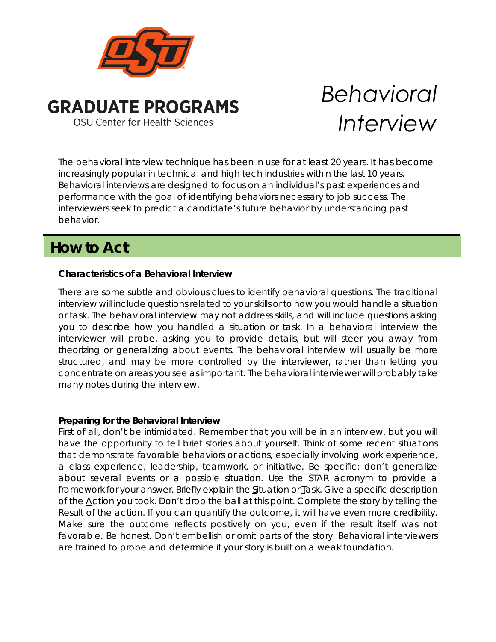

# *Behavioral Interview*

The behavioral interview technique has been in use for at least 20 years. It has become increasingly popular in technical and high tech industries within the last 10 years. Behavioral interviews are designed to focus on an individual's past experiences and performance with the goal of identifying behaviors necessary to job success. The interviewers seek to predict a candidate's future behavior by understanding past behavior.

# **How to Act**

## **Characteristics of a Behavioral Interview**

There are some subtle and obvious clues to identify behavioral questions. The traditional interview will include questions related to your skills or to how you would handle a situation or task. The behavioral interview may not address skills, and will include questions asking you to describe how you handled a situation or task. In a behavioral interview the interviewer will probe, asking you to provide details, but will steer you away from theorizing or generalizing about events. The behavioral interview will usually be more structured, and may be more controlled by the interviewer, rather than letting you concentrate on areas you see as important. The behavioral interviewer will probably take many notes during the interview.

### **Preparing for the Behavioral Interview**

First of all, don't be intimidated. Remember that you will be in an interview, but you will have the opportunity to tell brief stories about yourself. Think of some recent situations that demonstrate favorable behaviors or actions, especially involving work experience, a class experience, leadership, teamwork, or initiative. Be specific; don't generalize about several events or a possible situation. Use the STAR acronym to provide a framework for your answer. Briefly explain the Situation or Task. Give a specific description of the Action you took. Don't drop the ball at this point. Complete the story by telling the Result of the action. If you can quantify the outcome, it will have even more credibility. Make sure the outcome reflects positively on you, even if the result itself was not favorable. Be honest. Don't embellish or omit parts of the story. Behavioral interviewers are trained to probe and determine if your story is built on a weak foundation.